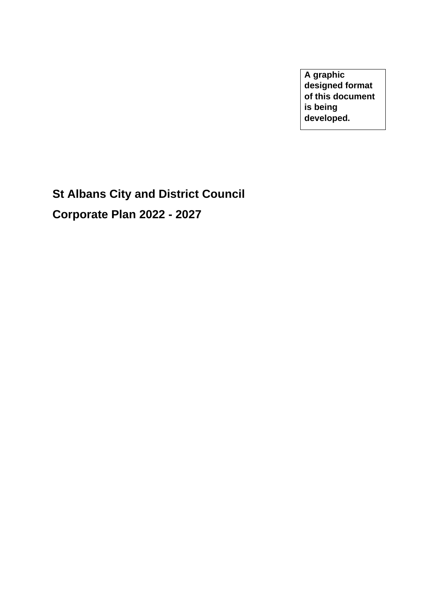**A graphic designed format of this document is being developed.**

**St Albans City and District Council Corporate Plan 2022 - 2027**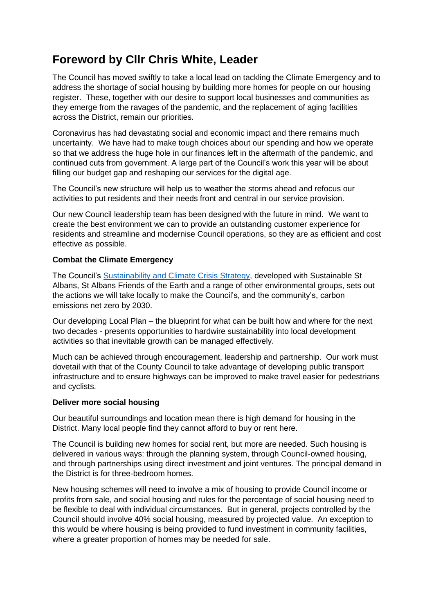## **Foreword by Cllr Chris White, Leader**

The Council has moved swiftly to take a local lead on tackling the Climate Emergency and to address the shortage of social housing by building more homes for people on our housing register. These, together with our desire to support local businesses and communities as they emerge from the ravages of the pandemic, and the replacement of aging facilities across the District, remain our priorities.

Coronavirus has had devastating social and economic impact and there remains much uncertainty. We have had to make tough choices about our spending and how we operate so that we address the huge hole in our finances left in the aftermath of the pandemic, and continued cuts from government. A large part of the Council's work this year will be about filling our budget gap and reshaping our services for the digital age.

The Council's new structure will help us to weather the storms ahead and refocus our activities to put residents and their needs front and central in our service provision.

Our new Council leadership team has been designed with the future in mind. We want to create the best environment we can to provide an outstanding customer experience for residents and streamline and modernise Council operations, so they are as efficient and cost effective as possible.

### **Combat the Climate Emergency**

The Council's [Sustainability and Climate Crisis Strategy,](https://www.stalbans.gov.uk/sites/default/files/attachments/FINAL%20SADC%20Sustainability%20and%20Climate%20Crisis%20Strategy.pdf) developed with Sustainable St Albans, St Albans Friends of the Earth and a range of other environmental groups, sets out the actions we will take locally to make the Council's, and the community's, carbon emissions net zero by 2030.

Our developing Local Plan – the blueprint for what can be built how and where for the next two decades - presents opportunities to hardwire sustainability into local development activities so that inevitable growth can be managed effectively.

Much can be achieved through encouragement, leadership and partnership. Our work must dovetail with that of the County Council to take advantage of developing public transport infrastructure and to ensure highways can be improved to make travel easier for pedestrians and cyclists.

#### **Deliver more social housing**

Our beautiful surroundings and location mean there is high demand for housing in the District. Many local people find they cannot afford to buy or rent here.

The Council is building new homes for social rent, but more are needed. Such housing is delivered in various ways: through the planning system, through Council-owned housing, and through partnerships using direct investment and joint ventures. The principal demand in the District is for three-bedroom homes.

New housing schemes will need to involve a mix of housing to provide Council income or profits from sale, and social housing and rules for the percentage of social housing need to be flexible to deal with individual circumstances. But in general, projects controlled by the Council should involve 40% social housing, measured by projected value. An exception to this would be where housing is being provided to fund investment in community facilities, where a greater proportion of homes may be needed for sale.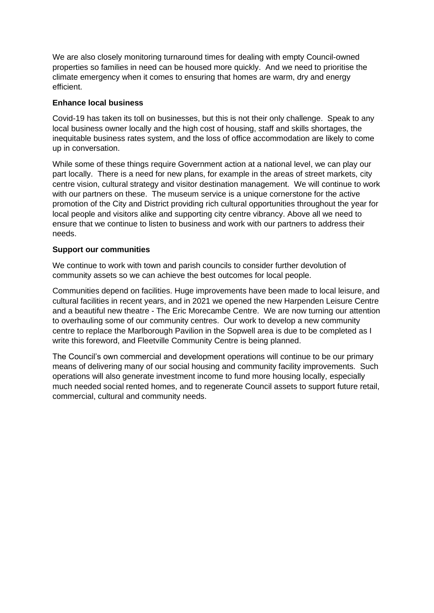We are also closely monitoring turnaround times for dealing with empty Council-owned properties so families in need can be housed more quickly. And we need to prioritise the climate emergency when it comes to ensuring that homes are warm, dry and energy efficient.

#### **Enhance local business**

Covid-19 has taken its toll on businesses, but this is not their only challenge. Speak to any local business owner locally and the high cost of housing, staff and skills shortages, the inequitable business rates system, and the loss of office accommodation are likely to come up in conversation.

While some of these things require Government action at a national level, we can play our part locally. There is a need for new plans, for example in the areas of street markets, city centre vision, cultural strategy and visitor destination management. We will continue to work with our partners on these. The museum service is a unique cornerstone for the active promotion of the City and District providing rich cultural opportunities throughout the year for local people and visitors alike and supporting city centre vibrancy. Above all we need to ensure that we continue to listen to business and work with our partners to address their needs.

#### **Support our communities**

We continue to work with town and parish councils to consider further devolution of community assets so we can achieve the best outcomes for local people.

Communities depend on facilities. Huge improvements have been made to local leisure, and cultural facilities in recent years, and in 2021 we opened the new Harpenden Leisure Centre and a beautiful new theatre - The Eric Morecambe Centre. We are now turning our attention to overhauling some of our community centres. Our work to develop a new community centre to replace the Marlborough Pavilion in the Sopwell area is due to be completed as I write this foreword, and Fleetville Community Centre is being planned.

The Council's own commercial and development operations will continue to be our primary means of delivering many of our social housing and community facility improvements. Such operations will also generate investment income to fund more housing locally, especially much needed social rented homes, and to regenerate Council assets to support future retail, commercial, cultural and community needs.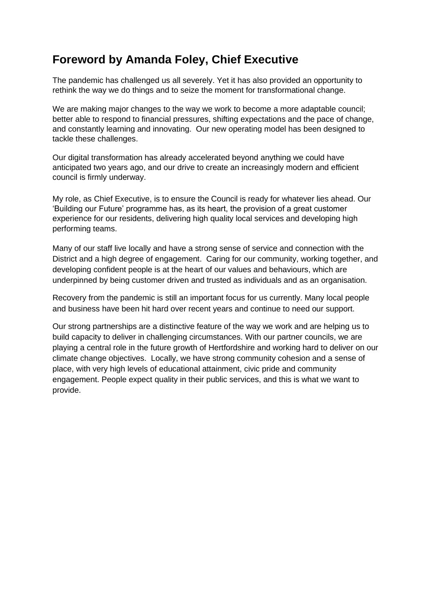## **Foreword by Amanda Foley, Chief Executive**

The pandemic has challenged us all severely. Yet it has also provided an opportunity to rethink the way we do things and to seize the moment for transformational change.

We are making major changes to the way we work to become a more adaptable council; better able to respond to financial pressures, shifting expectations and the pace of change, and constantly learning and innovating. Our new operating model has been designed to tackle these challenges.

Our digital transformation has already accelerated beyond anything we could have anticipated two years ago, and our drive to create an increasingly modern and efficient council is firmly underway.

My role, as Chief Executive, is to ensure the Council is ready for whatever lies ahead. Our 'Building our Future' programme has, as its heart, the provision of a great customer experience for our residents, delivering high quality local services and developing high performing teams.

Many of our staff live locally and have a strong sense of service and connection with the District and a high degree of engagement. Caring for our community, working together, and developing confident people is at the heart of our values and behaviours, which are underpinned by being customer driven and trusted as individuals and as an organisation.

Recovery from the pandemic is still an important focus for us currently. Many local people and business have been hit hard over recent years and continue to need our support.

Our strong partnerships are a distinctive feature of the way we work and are helping us to build capacity to deliver in challenging circumstances. With our partner councils, we are playing a central role in the future growth of Hertfordshire and working hard to deliver on our climate change objectives. Locally, we have strong community cohesion and a sense of place, with very high levels of educational attainment, civic pride and community engagement. People expect quality in their public services, and this is what we want to provide.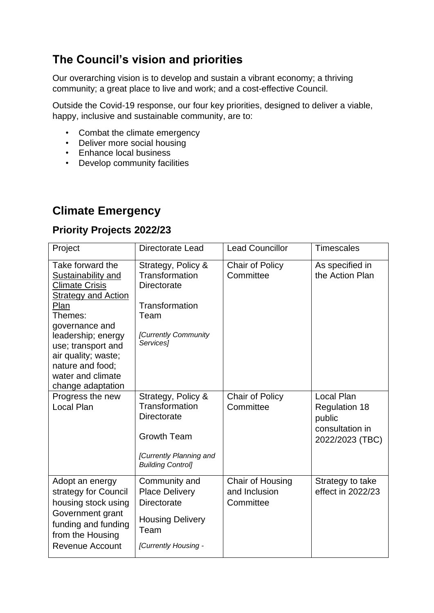## **The Council's vision and priorities**

Our overarching vision is to develop and sustain a vibrant economy; a thriving community; a great place to live and work; and a cost-effective Council.

Outside the Covid-19 response, our four key priorities, designed to deliver a viable, happy, inclusive and sustainable community, are to:

- Combat the climate emergency
- Deliver more social housing
- Enhance local business
- Develop community facilities

## **Climate Emergency**

### **Priority Projects 2022/23**

| Project                                                                                                                                                                                                                                                                    | Directorate Lead                                                                                                                        | <b>Lead Councillor</b>                         | <b>Timescales</b>                                                                         |
|----------------------------------------------------------------------------------------------------------------------------------------------------------------------------------------------------------------------------------------------------------------------------|-----------------------------------------------------------------------------------------------------------------------------------------|------------------------------------------------|-------------------------------------------------------------------------------------------|
| Take forward the<br><b>Sustainability and</b><br><b>Climate Crisis</b><br><b>Strategy and Action</b><br>Plan<br>Themes:<br>governance and<br>leadership; energy<br>use; transport and<br>air quality; waste;<br>nature and food;<br>water and climate<br>change adaptation | Strategy, Policy &<br>Transformation<br><b>Directorate</b><br>Transformation<br>Team<br>[Currently Community<br>Services]               | <b>Chair of Policy</b><br>Committee            | As specified in<br>the Action Plan                                                        |
| Progress the new<br>Local Plan                                                                                                                                                                                                                                             | Strategy, Policy &<br>Transformation<br><b>Directorate</b><br><b>Growth Team</b><br>[Currently Planning and<br><b>Building Control]</b> | <b>Chair of Policy</b><br>Committee            | <b>Local Plan</b><br><b>Regulation 18</b><br>public<br>consultation in<br>2022/2023 (TBC) |
| Adopt an energy<br>strategy for Council<br>housing stock using<br>Government grant<br>funding and funding<br>from the Housing<br><b>Revenue Account</b>                                                                                                                    | Community and<br><b>Place Delivery</b><br><b>Directorate</b><br><b>Housing Delivery</b><br>Team<br>[Currently Housing -                 | Chair of Housing<br>and Inclusion<br>Committee | Strategy to take<br>effect in 2022/23                                                     |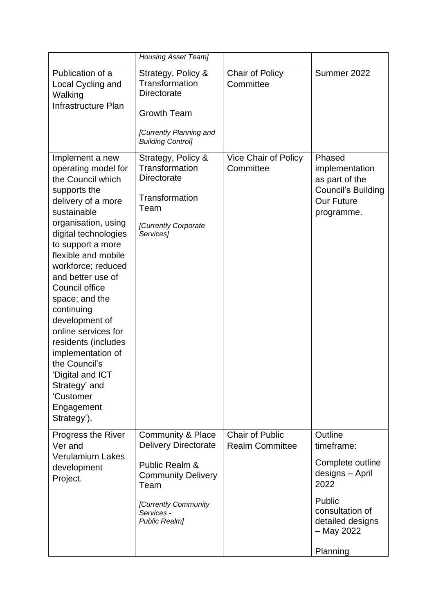|                                                                                                                                                                                                                                                                                                                                                                                                                                                                                               | <b>Housing Asset Teaml</b>                                                                                                                                                       |                                                  |                                                                                                                                     |
|-----------------------------------------------------------------------------------------------------------------------------------------------------------------------------------------------------------------------------------------------------------------------------------------------------------------------------------------------------------------------------------------------------------------------------------------------------------------------------------------------|----------------------------------------------------------------------------------------------------------------------------------------------------------------------------------|--------------------------------------------------|-------------------------------------------------------------------------------------------------------------------------------------|
| Publication of a<br>Local Cycling and<br>Walking<br>Infrastructure Plan                                                                                                                                                                                                                                                                                                                                                                                                                       | Strategy, Policy &<br>Transformation<br><b>Directorate</b><br><b>Growth Team</b><br>[Currently Planning and<br><b>Building Control]</b>                                          | Chair of Policy<br>Committee                     | Summer 2022                                                                                                                         |
| Implement a new<br>operating model for<br>the Council which<br>supports the<br>delivery of a more<br>sustainable<br>organisation, using<br>digital technologies<br>to support a more<br>flexible and mobile<br>workforce; reduced<br>and better use of<br>Council office<br>space; and the<br>continuing<br>development of<br>online services for<br>residents (includes<br>implementation of<br>the Council's<br>'Digital and ICT<br>Strategy' and<br>'Customer<br>Engagement<br>Strategy'). | Strategy, Policy &<br>Transformation<br>Directorate<br>Transformation<br>Team<br>[Currently Corporate<br>Services]                                                               | Vice Chair of Policy<br>Committee                | Phased<br>implementation<br>as part of the<br><b>Council's Building</b><br><b>Our Future</b><br>programme.                          |
| Progress the River<br>Ver and<br><b>Verulamium Lakes</b><br>development<br>Project.                                                                                                                                                                                                                                                                                                                                                                                                           | <b>Community &amp; Place</b><br><b>Delivery Directorate</b><br>Public Realm &<br><b>Community Delivery</b><br>Team<br>[Currently Community<br>Services -<br><b>Public Realm]</b> | <b>Chair of Public</b><br><b>Realm Committee</b> | Outline<br>timeframe:<br>Complete outline<br>designs - April<br>2022<br>Public<br>consultation of<br>detailed designs<br>- May 2022 |
|                                                                                                                                                                                                                                                                                                                                                                                                                                                                                               |                                                                                                                                                                                  |                                                  | Planning                                                                                                                            |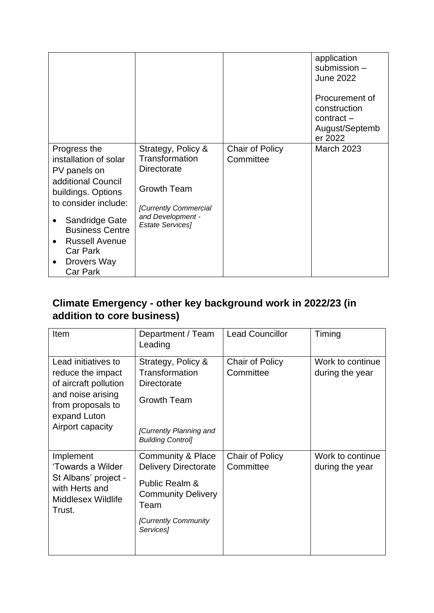|                                                                                                                                                                                                                                                                 |                                                                                                                                             |                                     | application<br>submission -<br><b>June 2022</b><br>Procurement of<br>construction<br>$contract -$<br>August/Septemb<br>er 2022 |
|-----------------------------------------------------------------------------------------------------------------------------------------------------------------------------------------------------------------------------------------------------------------|---------------------------------------------------------------------------------------------------------------------------------------------|-------------------------------------|--------------------------------------------------------------------------------------------------------------------------------|
| Progress the<br>installation of solar<br>PV panels on<br>additional Council<br>buildings. Options<br>to consider include:<br>Sandridge Gate<br><b>Business Centre</b><br><b>Russell Avenue</b><br>$\bullet$<br>Car Park<br>Drovers Way<br>$\bullet$<br>Car Park | Strategy, Policy &<br>Transformation<br>Directorate<br><b>Growth Team</b><br>[Currently Commercial<br>and Development -<br>Estate Services] | <b>Chair of Policy</b><br>Committee | <b>March 2023</b>                                                                                                              |

### **Climate Emergency - other key background work in 2022/23 (in addition to core business)**

| Item                                                                                                                                            | Department / Team<br>Leading                                                                                                                 | <b>Lead Councillor</b>       | Timing                              |
|-------------------------------------------------------------------------------------------------------------------------------------------------|----------------------------------------------------------------------------------------------------------------------------------------------|------------------------------|-------------------------------------|
| Lead initiatives to<br>reduce the impact<br>of aircraft pollution<br>and noise arising<br>from proposals to<br>expand Luton<br>Airport capacity | Strategy, Policy &<br>Transformation<br>Directorate<br><b>Growth Team</b><br><b>[Currently Planning and</b><br><b>Building Controll</b>      | Chair of Policy<br>Committee | Work to continue<br>during the year |
| Implement<br>'Towards a Wilder<br>St Albans' project -<br>with Herts and<br>Middlesex Wildlife<br>Trust.                                        | Community & Place<br><b>Delivery Directorate</b><br>Public Realm &<br><b>Community Delivery</b><br>Team<br>[Currently Community<br>Services] | Chair of Policy<br>Committee | Work to continue<br>during the year |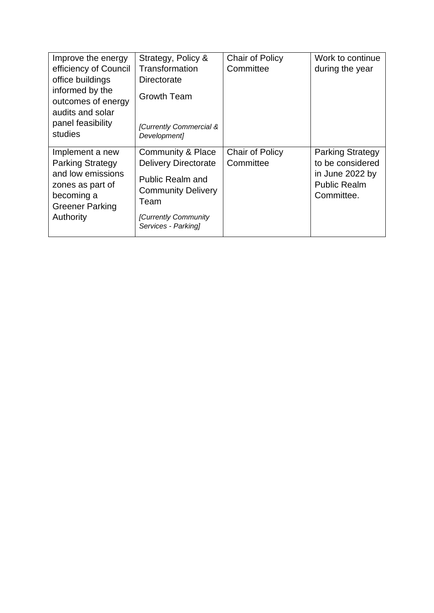| Improve the energy                                        | Strategy, Policy &                                   | Chair of Policy        | Work to continue                       |
|-----------------------------------------------------------|------------------------------------------------------|------------------------|----------------------------------------|
| efficiency of Council                                     | Transformation                                       | Committee              | during the year                        |
| office buildings                                          | Directorate                                          |                        |                                        |
| informed by the<br>outcomes of energy<br>audits and solar | Growth Team                                          |                        |                                        |
| panel feasibility<br>studies                              | <b>[Currently Commercial &amp;</b><br>Development]   |                        |                                        |
| Implement a new                                           | Community & Place                                    | <b>Chair of Policy</b> | <b>Parking Strategy</b>                |
| <b>Parking Strategy</b>                                   | <b>Delivery Directorate</b>                          | Committee              | to be considered                       |
| and low emissions<br>zones as part of<br>becoming a       | <b>Public Realm and</b><br><b>Community Delivery</b> |                        | in June 2022 by<br><b>Public Realm</b> |
| <b>Greener Parking</b><br>Authority                       | Team<br><b>[Currently Community</b>                  |                        | Committee.                             |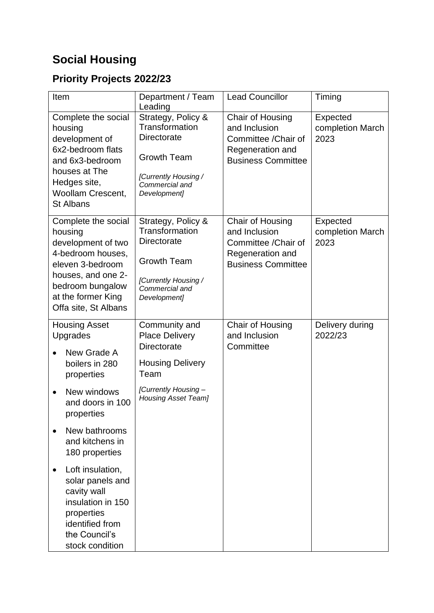# **Social Housing**

# **Priority Projects 2022/23**

| Item |                                                                                                                                                                                       | Department / Team<br>Leading                                                                                                                         | <b>Lead Councillor</b>                                                                                     | Timing                               |
|------|---------------------------------------------------------------------------------------------------------------------------------------------------------------------------------------|------------------------------------------------------------------------------------------------------------------------------------------------------|------------------------------------------------------------------------------------------------------------|--------------------------------------|
|      | Complete the social<br>housing<br>development of<br>6x2-bedroom flats<br>and 6x3-bedroom<br>houses at The<br>Hedges site,<br><b>Woollam Crescent,</b><br><b>St Albans</b>             | Strategy, Policy &<br>Transformation<br><b>Directorate</b><br><b>Growth Team</b><br>[Currently Housing /<br>Commercial and<br>Development]           | Chair of Housing<br>and Inclusion<br>Committee / Chair of<br>Regeneration and<br><b>Business Committee</b> | Expected<br>completion March<br>2023 |
|      | Complete the social<br>housing<br>development of two<br>4-bedroom houses,<br>eleven 3-bedroom<br>houses, and one 2-<br>bedroom bungalow<br>at the former King<br>Offa site, St Albans | Strategy, Policy &<br>Transformation<br><b>Directorate</b><br><b>Growth Team</b><br>[Currently Housing /<br>Commercial and<br>Development]           | Chair of Housing<br>and Inclusion<br>Committee / Chair of<br>Regeneration and<br><b>Business Committee</b> | Expected<br>completion March<br>2023 |
|      | <b>Housing Asset</b><br>Upgrades<br>New Grade A<br>boilers in 280<br>properties<br>New windows<br>and doors in 100<br>properties                                                      | Community and<br><b>Place Delivery</b><br><b>Directorate</b><br><b>Housing Delivery</b><br>Team<br>[Currently Housing-<br><b>Housing Asset Team]</b> | Chair of Housing<br>and Inclusion<br>Committee                                                             | Delivery during<br>2022/23           |
|      | New bathrooms<br>and kitchens in<br>180 properties                                                                                                                                    |                                                                                                                                                      |                                                                                                            |                                      |
|      | Loft insulation,<br>solar panels and<br>cavity wall<br>insulation in 150<br>properties<br>identified from<br>the Council's<br>stock condition                                         |                                                                                                                                                      |                                                                                                            |                                      |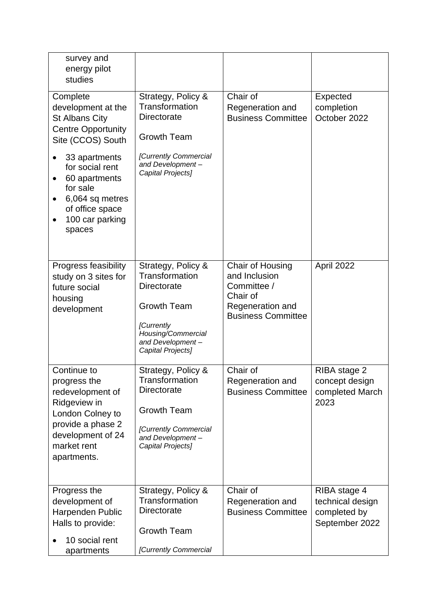| survey and<br>energy pilot<br>studies                                                                                                                                                                                                                                                |                                                                                                                                                                      |                                                                                                               |                                                                    |
|--------------------------------------------------------------------------------------------------------------------------------------------------------------------------------------------------------------------------------------------------------------------------------------|----------------------------------------------------------------------------------------------------------------------------------------------------------------------|---------------------------------------------------------------------------------------------------------------|--------------------------------------------------------------------|
| Complete<br>development at the<br><b>St Albans City</b><br><b>Centre Opportunity</b><br>Site (CCOS) South<br>33 apartments<br>for social rent<br>60 apartments<br>$\bullet$<br>for sale<br>6,064 sq metres<br>$\bullet$<br>of office space<br>100 car parking<br>$\bullet$<br>spaces | Strategy, Policy &<br>Transformation<br><b>Directorate</b><br><b>Growth Team</b><br>[Currently Commercial<br>and Development-<br>Capital Projects]                   | Chair of<br>Regeneration and<br><b>Business Committee</b>                                                     | Expected<br>completion<br>October 2022                             |
| Progress feasibility<br>study on 3 sites for<br>future social<br>housing<br>development                                                                                                                                                                                              | Strategy, Policy &<br>Transformation<br><b>Directorate</b><br><b>Growth Team</b><br><b>[Currently</b><br>Housing/Commercial<br>and Development-<br>Capital Projects] | Chair of Housing<br>and Inclusion<br>Committee /<br>Chair of<br>Regeneration and<br><b>Business Committee</b> | April 2022                                                         |
| Continue to<br>progress the<br>redevelopment of<br>Ridgeview in<br>London Colney to<br>provide a phase 2<br>development of 24<br>market rent<br>apartments.                                                                                                                          | Strategy, Policy &<br>Transformation<br><b>Directorate</b><br><b>Growth Team</b><br>[Currently Commercial<br>and Development-<br>Capital Projects]                   | Chair of<br>Regeneration and<br><b>Business Committee</b>                                                     | RIBA stage 2<br>concept design<br>completed March<br>2023          |
| Progress the<br>development of<br>Harpenden Public<br>Halls to provide:<br>10 social rent<br>apartments                                                                                                                                                                              | Strategy, Policy &<br>Transformation<br><b>Directorate</b><br><b>Growth Team</b><br>[Currently Commercial                                                            | Chair of<br>Regeneration and<br><b>Business Committee</b>                                                     | RIBA stage 4<br>technical design<br>completed by<br>September 2022 |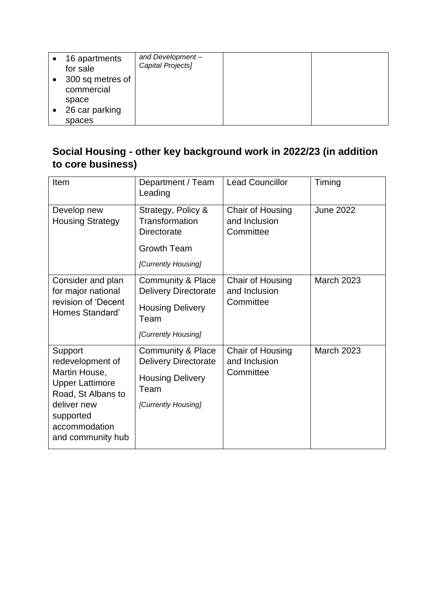| 16 apartments<br>for sale      | and Development-<br>Capital Projects] |  |
|--------------------------------|---------------------------------------|--|
| 300 sq metres of<br>commercial |                                       |  |
| space                          |                                       |  |
| 26 car parking                 |                                       |  |
| spaces                         |                                       |  |

## **Social Housing - other key background work in 2022/23 (in addition to core business)**

| Item                                                                                                                                                           | Department / Team<br>Leading                                                                               | <b>Lead Councillor</b>                         | Timing            |
|----------------------------------------------------------------------------------------------------------------------------------------------------------------|------------------------------------------------------------------------------------------------------------|------------------------------------------------|-------------------|
| Develop new<br><b>Housing Strategy</b>                                                                                                                         | Strategy, Policy &<br>Transformation<br>Directorate<br><b>Growth Team</b><br>[Currently Housing]           | Chair of Housing<br>and Inclusion<br>Committee | <b>June 2022</b>  |
| Consider and plan<br>for major national<br>revision of 'Decent<br>Homes Standard'                                                                              | Community & Place<br><b>Delivery Directorate</b><br><b>Housing Delivery</b><br>Team<br>[Currently Housing] | Chair of Housing<br>and Inclusion<br>Committee | <b>March 2023</b> |
| Support<br>redevelopment of<br>Martin House,<br><b>Upper Lattimore</b><br>Road, St Albans to<br>deliver new<br>supported<br>accommodation<br>and community hub | Community & Place<br><b>Delivery Directorate</b><br><b>Housing Delivery</b><br>Team<br>[Currently Housing] | Chair of Housing<br>and Inclusion<br>Committee | <b>March 2023</b> |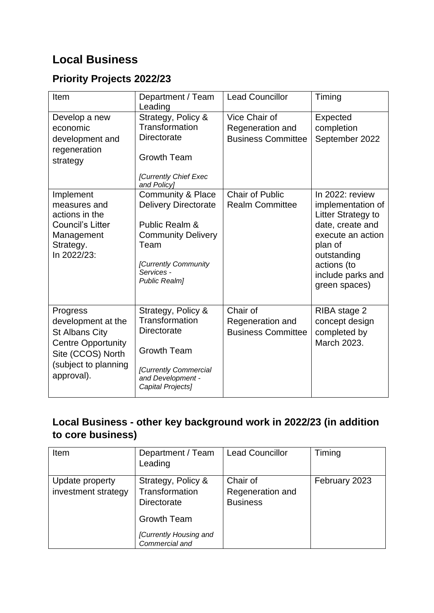## **Local Business**

## **Priority Projects 2022/23**

| Item                                                                                                                                            | Department / Team<br>Leading                                                                                                                                          | <b>Lead Councillor</b>                                         | Timing                                                                                                                                                                             |
|-------------------------------------------------------------------------------------------------------------------------------------------------|-----------------------------------------------------------------------------------------------------------------------------------------------------------------------|----------------------------------------------------------------|------------------------------------------------------------------------------------------------------------------------------------------------------------------------------------|
| Develop a new<br>economic<br>development and<br>regeneration<br>strategy                                                                        | Strategy, Policy &<br>Transformation<br><b>Directorate</b><br><b>Growth Team</b><br>[Currently Chief Exec<br>and Policy]                                              | Vice Chair of<br>Regeneration and<br><b>Business Committee</b> | Expected<br>completion<br>September 2022                                                                                                                                           |
| Implement<br>measures and<br>actions in the<br><b>Council's Litter</b><br>Management<br>Strategy.<br>In 2022/23:                                | Community & Place<br><b>Delivery Directorate</b><br>Public Realm &<br><b>Community Delivery</b><br>Team<br>[Currently Community<br>Services -<br><b>Public Realm]</b> | <b>Chair of Public</b><br><b>Realm Committee</b>               | In 2022: review<br>implementation of<br>Litter Strategy to<br>date, create and<br>execute an action<br>plan of<br>outstanding<br>actions (to<br>include parks and<br>green spaces) |
| Progress<br>development at the<br><b>St Albans City</b><br><b>Centre Opportunity</b><br>Site (CCOS) North<br>(subject to planning<br>approval). | Strategy, Policy &<br>Transformation<br>Directorate<br><b>Growth Team</b><br>[Currently Commercial<br>and Development -<br>Capital Projects]                          | Chair of<br>Regeneration and<br><b>Business Committee</b>      | RIBA stage 2<br>concept design<br>completed by<br>March 2023.                                                                                                                      |

## **Local Business - other key background work in 2022/23 (in addition to core business)**

| Item                                   | Department / Team<br>Leading                                   | <b>Lead Councillor</b>                          | Timing        |
|----------------------------------------|----------------------------------------------------------------|-------------------------------------------------|---------------|
| Update property<br>investment strategy | Strategy, Policy &<br>Transformation<br><b>Directorate</b>     | Chair of<br>Regeneration and<br><b>Business</b> | February 2023 |
|                                        | <b>Growth Team</b><br>[Currently Housing and<br>Commercial and |                                                 |               |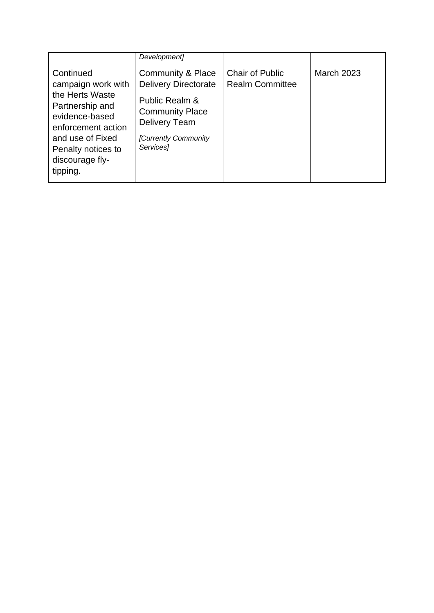|                                                                                                                                                                                        | Development]                                                                                                                                       |                                                  |                   |
|----------------------------------------------------------------------------------------------------------------------------------------------------------------------------------------|----------------------------------------------------------------------------------------------------------------------------------------------------|--------------------------------------------------|-------------------|
| Continued<br>campaign work with<br>the Herts Waste<br>Partnership and<br>evidence-based<br>enforcement action<br>and use of Fixed<br>Penalty notices to<br>discourage fly-<br>tipping. | Community & Place<br><b>Delivery Directorate</b><br>Public Realm &<br><b>Community Place</b><br>Delivery Team<br>[Currently Community<br>Services] | <b>Chair of Public</b><br><b>Realm Committee</b> | <b>March 2023</b> |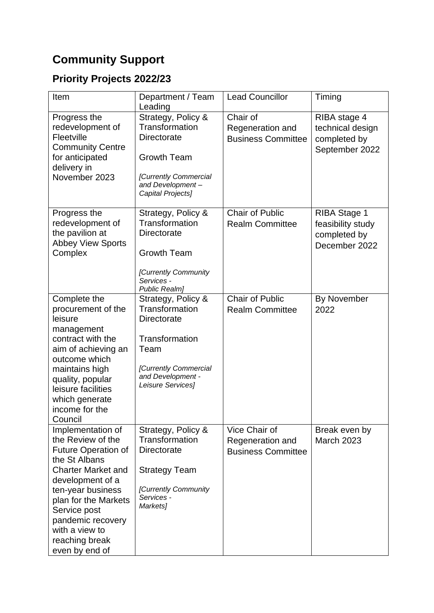# **Community Support**

# **Priority Projects 2022/23**

| Item                                                                                                                                                                                                                                                                           | Department / Team<br>Leading                                                                                                                     | <b>Lead Councillor</b>                                         | Timing                                                             |
|--------------------------------------------------------------------------------------------------------------------------------------------------------------------------------------------------------------------------------------------------------------------------------|--------------------------------------------------------------------------------------------------------------------------------------------------|----------------------------------------------------------------|--------------------------------------------------------------------|
| Progress the<br>redevelopment of<br>Fleetville<br><b>Community Centre</b><br>for anticipated<br>delivery in<br>November 2023                                                                                                                                                   | Strategy, Policy &<br>Transformation<br>Directorate<br><b>Growth Team</b><br>[Currently Commercial<br>and Development-<br>Capital Projects]      | Chair of<br>Regeneration and<br><b>Business Committee</b>      | RIBA stage 4<br>technical design<br>completed by<br>September 2022 |
| Progress the<br>redevelopment of<br>the pavilion at<br><b>Abbey View Sports</b><br>Complex                                                                                                                                                                                     | Strategy, Policy &<br>Transformation<br>Directorate<br><b>Growth Team</b><br>[Currently Community<br>Services -<br><b>Public Realm]</b>          | <b>Chair of Public</b><br><b>Realm Committee</b>               | RIBA Stage 1<br>feasibility study<br>completed by<br>December 2022 |
| Complete the<br>procurement of the<br>leisure<br>management<br>contract with the<br>aim of achieving an<br>outcome which<br>maintains high<br>quality, popular<br>leisure facilities<br>which generate<br>income for the<br>Council                                            | Strategy, Policy &<br>Transformation<br>Directorate<br>Transformation<br>Team<br>[Currently Commercial<br>and Development -<br>Leisure Services] | <b>Chair of Public</b><br><b>Realm Committee</b>               | By November<br>2022                                                |
| Implementation of<br>the Review of the<br><b>Future Operation of</b><br>the St Albans<br><b>Charter Market and</b><br>development of a<br>ten-year business<br>plan for the Markets<br>Service post<br>pandemic recovery<br>with a view to<br>reaching break<br>even by end of | Strategy, Policy &<br>Transformation<br><b>Directorate</b><br><b>Strategy Team</b><br>[Currently Community<br>Services -<br>Markets]             | Vice Chair of<br>Regeneration and<br><b>Business Committee</b> | Break even by<br><b>March 2023</b>                                 |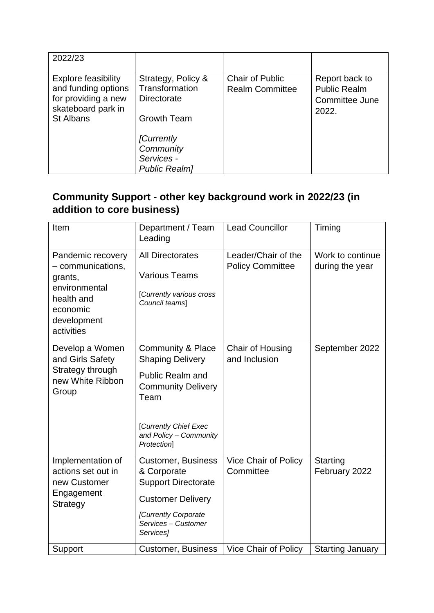| 2022/23                                                                                                     |                                                                                                                                                   |                                                  |                                                                  |
|-------------------------------------------------------------------------------------------------------------|---------------------------------------------------------------------------------------------------------------------------------------------------|--------------------------------------------------|------------------------------------------------------------------|
| <b>Explore feasibility</b><br>and funding options<br>for providing a new<br>skateboard park in<br>St Albans | Strategy, Policy &<br>Transformation<br>Directorate<br><b>Growth Team</b><br><b>[Currently</b><br>Community<br>Services -<br><b>Public Realm1</b> | <b>Chair of Public</b><br><b>Realm Committee</b> | Report back to<br><b>Public Realm</b><br>Committee June<br>2022. |

### **Community Support - other key background work in 2022/23 (in addition to core business)**

| Item                                                                                                                      | Department / Team<br>Leading                                                                                                                                                              | <b>Lead Councillor</b>                         | Timing                              |
|---------------------------------------------------------------------------------------------------------------------------|-------------------------------------------------------------------------------------------------------------------------------------------------------------------------------------------|------------------------------------------------|-------------------------------------|
| Pandemic recovery<br>- communications,<br>grants,<br>environmental<br>health and<br>economic<br>development<br>activities | <b>All Directorates</b><br><b>Various Teams</b><br>[Currently various cross<br>Council teams]                                                                                             | Leader/Chair of the<br><b>Policy Committee</b> | Work to continue<br>during the year |
| Develop a Women<br>and Girls Safety<br>Strategy through<br>new White Ribbon<br>Group                                      | <b>Community &amp; Place</b><br><b>Shaping Delivery</b><br><b>Public Realm and</b><br><b>Community Delivery</b><br>Team<br>[Currently Chief Exec<br>and Policy - Community<br>Protection] | Chair of Housing<br>and Inclusion              | September 2022                      |
| Implementation of<br>actions set out in<br>new Customer<br>Engagement<br>Strategy                                         | <b>Customer, Business</b><br>& Corporate<br><b>Support Directorate</b><br><b>Customer Delivery</b><br>[Currently Corporate<br>Services - Customer<br>Services]                            | <b>Vice Chair of Policy</b><br>Committee       | Starting<br>February 2022           |
| Support                                                                                                                   | <b>Customer, Business</b>                                                                                                                                                                 | <b>Vice Chair of Policy</b>                    | <b>Starting January</b>             |